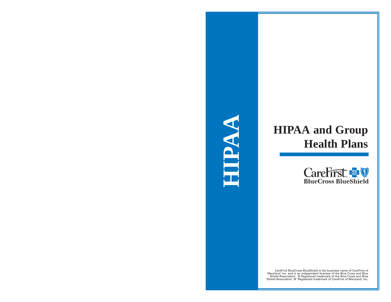

# **HIPAA and Group Health Plans**



CareFirst BlueCross BlueShield is the business name of CareFirst of Maryland, Inc. and is an independent licensee of the Blue Cross and Blue Shield Association. ® Registered trademark of the Blue Cross and Blue Shield Association. ®' Registered trademark of CareFirst of Maryland, Inc.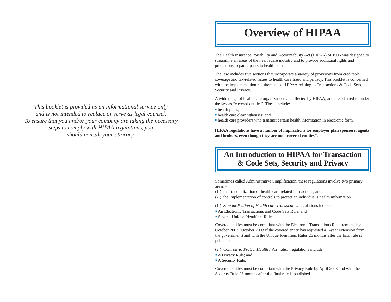### **Overview of HIPAA**

The Health Insurance Portability and Accountability Act (HIPAA) of 1996 was designed to streamline all areas of the health care industry and to provide additional rights and protections to participants in health plans.

The law includes five sections that incorporate a variety of provisions from creditable coverage and tax-related issues to health care fraud and privacy. This booklet is concerned with the implementation requirements of HIPAA relating to Transactions & Code Sets, Security and Privacy.

A wide range of health care organizations are affected by HIPAA, and are referred to under the law as "covered entities". These include:

- health plans;
- health care clearinghouses; and
- health care providers who transmit certain health information in electronic form.

**HIPAA regulations have a number of implications for employer plan sponsors, agents and brokers, even though they are not "covered entities".**

### **An Introduction to HIPAA for Transaction & Code Sets, Security and Privacy**

Sometimes called Administrative Simplification, these regulations involve two primary areas –

(1.) the standardization of health care-related transactions, and

(2.) the implementation of controls to protect an individual's health information.

- (1.) *Standardization of Health care Transactions* regulations include:
- An Electronic Transactions and Code Sets Rule; and
- **B** Several Unique Identifiers Rules.

Covered entities must be compliant with the Electronic Transactions Requirements by October 2002 (October 2003 if the covered entity has requested a 1-year extension from the government) and with the Unique Identifiers Rules 26 months after the final rule is published.

- (2.) *Controls to Protect Health Information* regulations include:
- A Privacy Rule; and
- **A** Security Rule.

Covered entities must be compliant with the Privacy Rule by April 2003 and with the Security Rule 26 months after the final rule is published.

*This booklet is provided as an informational service only and is not intended to replace or serve as legal counsel. To ensure that you and/or your company are taking the necessary steps to comply with HIPAA regulations, you should consult your attorney.*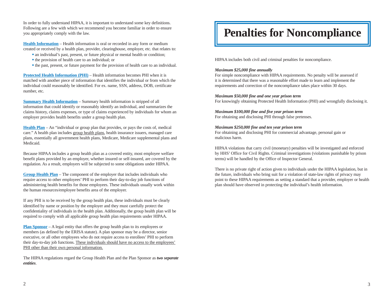In order to fully understand HIPAA, it is important to understand some key definitions. Following are a few with which we recommend you become familiar in order to ensure you appropriately comply with the law.

**Health Information** – Health information is oral or recorded in any form or medium created or received by a health plan, provider, clearinghouse, employer, etc. that relates to:

- an individual's past, present, or future physical or mental health or condition;
- the provision of health care to an individual; or
- ß the past, present, or future payment for the provision of health care to an individual.

**Protected Health Information (PHI)** – Health information becomes PHI when it is matched with another piece of information that identifies the individual or from which the individual could reasonably be identified. For ex. name, SSN, address, DOB, certificate number, etc.

**Summary Health Information** – Summary health information is stripped of all information that could identify or reasonably identify an individual, and summarizes the claims history, claims expenses, or type of claims experienced by individuals for whom an employer provides health benefits under a group health plan.

**Health Plan** – An "individual or group plan that provides, or pays the costs of, medical care." A health plan includes group health plans, health insurance issuers, managed care plans, essentially all government health plans, Medicare, Medicare supplemental plans and Medicaid.

Because HIPAA includes a group health plan as a covered entity, most employee welfare benefit plans provided by an employer, whether insured or self-insured, are covered by the regulation. As a result, employers will be subjected to some obligations under HIPAA.

**Group Health Plan** – The component of the employer that includes individuals who require access to other employees' PHI to perform their day-to-day job functions of administering health benefits for those employees. These individuals usually work within the human resources/employee benefits area of the employer.

If any PHI is to be received by the group health plan, these individuals must be clearly identified by name or position by the employer and they must carefully protect the confidentiality of individuals in the health plan. Additionally, the group health plan will be required to comply with all applicable group health plan requirements under HIPAA.

**Plan Sponsor** – A legal entity that offers the group health plan to its employees or members (as defined by the ERISA statute). A plan sponsor may be a director, senior executive, or all other employees who do not require access to enrollees' PHI to perform their day-to-day job functions. These individuals should have no access to the employees' PHI other than their own personal information.

The HIPAA regulations regard the Group Health Plan and the Plan Sponsor as *two separate entities*.

### **Penalties for Noncompliance**

HIPAA includes both civil and criminal penalties for noncompliance.

#### *Maximum \$25,000 fine annually*

For simple noncompliance with HIPAA requirements. No penalty will be assessed if it is determined that there was a reasonable effort made to learn and implement the requirements and correction of the noncompliance takes place within 30 days.

#### *Maximum \$50,000 fine and one year prison term*

For knowingly obtaining Protected Health Information (PHI) and wrongfully disclosing it.

#### *Maximum \$100,000 fine and five year prison term*

For obtaining and disclosing PHI through false pretenses.

#### *Maximum \$250,000 fine and ten year prison term*

For obtaining and disclosing PHI for commercial advantage, personal gain or malicious harm.

HIPAA violations that carry civil (monetary) penalties will be investigated and enforced by HHS' Office for Civil Rights. Criminal investigations (violations punishable by prison terms) will be handled by the Office of Inspector General.

There is no private right of action given to individuals under the HIPAA legislation, but in the future, individuals who bring suit for a violation of state-law rights of privacy may point to these HIPAA requirements as setting a standard that a provider, employer or health plan should have observed in protecting the individual's health information.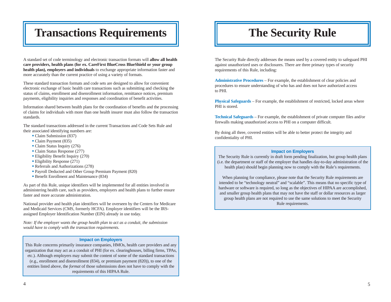## Transactions Requirements  $\|\qquad\|$  The Security Rule

A standard set of code terminology and electronic transaction formats will **allow all health care providers, health plans (for ex. CareFirst BlueCross BlueShield or your group health plan), employers and individuals** to exchange appropriate information faster and more accurately than the current practice of using a variety of formats.

These standard transaction formats and code sets are designed to allow for convenient electronic exchange of basic health care transactions such as submitting and checking the status of claims, enrollment and disenrollment information, remittance notices, premium payments, eligibility inquiries and responses and coordination of benefit activities.

Information shared between health plans for the coordination of benefits and the processing of claims for individuals with more than one health insurer must also follow the transaction standards.

The standard transactions addressed in the current Transactions and Code Sets Rule and their associated identifying numbers are:

- Claim Submission (837)
- Claim Payment (835)
- Claim Status Inquiry (276)
- Claim Status Response (277)
- **Eligibility Benefit Inquiry (270)**
- **Eligibility Response (271)**
- Referrals and Authorizations (278)
- ß Payroll Deducted and Other Group Premium Payment (820)
- **Benefit Enrollment and Maintenance (834)**

As part of this Rule, unique identifiers will be implemented for all entities involved in administering health care, such as providers, employers and health plans to further ensure faster and more accurate administration.

National provider and health plan identifiers will be overseen by the Centers for Medicare and Medicaid Services (CMS, formerly HCFA). Employer identifiers will be the IRSassigned Employer Identification Number (EIN) already in use today.

*Note: If the employer wants the group health plan to act as a conduit, the submission would have to comply with the transaction requirements.*

#### **Impact on Employers**

This Rule concerns primarily insurance companies, HMOs, health care providers and any organization that may act as a conduit of PHI (for ex. clearinghouses, billing firms, TPAs, etc.). Although employers may submit the content of some of the standard transactions (e.g., enrollment and disenrollment (834), or premium payment (820)), to one of the entities listed above, the *format* of those submissions does not have to comply with the requirements of this HIPAA Rule.

The Security Rule directly addresses the means used by a covered entity to safeguard PHI against unauthorized uses or disclosures. There are three primary types of security requirements of this Rule, including:

**Administrative Procedures** – For example, the establishment of clear policies and procedures to ensure understanding of who has and does not have authorized access to PHI.

**Physical Safeguards** – For example, the establishment of restricted, locked areas where PHI is stored.

**Technical Safeguards** – For example, the establishment of private computer files and/or firewalls making unauthorized access to PHI on a computer difficult.

By doing all three, covered entities will be able to better protect the integrity and confidentiality of PHI.

#### **Impact on Employers**

The Security Rule is currently in draft form pending finalization, but group health plans (i.e. the department or staff of the employer that handles day-to-day administration of the health plan) should begin planning now to comply with the Rule's requirements.

When planning for compliance, please note that the Security Rule requirements are intended to be "technology neutral" and "scalable". This means that no specific type of hardware or software is required, so long as the objectives of HIPAA are accomplished, and smaller group health plans that may not have the staff or dollar resources as larger group health plans are not required to use the same solutions to meet the Security Rule requirements.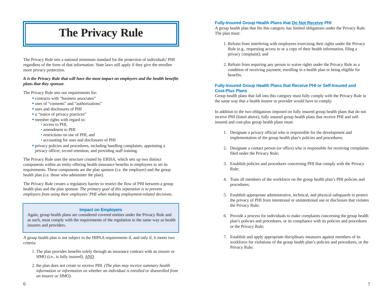# **The Privacy Rule**

The Privacy Rule sets a national minimum standard for the protection of individuals' PHI regardless of the form of that information. State laws still apply if they give the enrollee more privacy protection.

#### *It is the Privacy Rule that will have the most impact on employers and the health benefits plans that they sponsor.*

The Privacy Rule sets out requirements for:

- contracts with "business associates"
- uses of "consents" and "authorizations"
- ß uses and disclosures of PHI
- a "notice of privacy practices"
- member rights with regard to:
	- access to PHI,
	- amendment to PHI
	- restrictions on use of PHI, and
	- accounting for uses and disclosures of PHI
- ß privacy policies and procedures, including handling complaints, appointing a privacy officer, record retention, and providing staff training.

The Privacy Rule uses the structure created by ERISA, which sets up two distinct components within an entity offering health insurance benefits to employees to set its requirements. These components are the plan sponsor (i.e. the employer) and the group health plan (i.e. those who administer the plan).

The Privacy Rule creates a regulatory barrier to restrict the flow of PHI between a group health plan and the plan sponsor. *The primary goal of this separation is to prevent employers from using their employees' PHI when making employment-related decisions.*

#### **Impact on Employers**

Again, group health plans are considered covered entities under the Privacy Rule and as such, must comply with the requirements of the regulation in the same way as health insurers and providers.

A group health plan is not subject to the HIPAA requirements if, and only if, it meets two criteria:

- 1. The plan provides benefits solely through an insurance contract with an insurer or HMO (i.e., is fully insured); AND
- 2. the plan does not create or receive PHI. *(The plan may receive summary health information or information on whether an individual is enrolled or disenrolled from an insurer or HMO).*

#### **Fully-Insured Group Health Plans that Do Not Receive PHI**

A group health plan that fits this category has limited obligations under the Privacy Rule. The plan must:

- 1. Refrain from interfering with employees exercising their rights under the Privacy Rule (e.g., requesting access to or a copy of their health information, filing a privacy complaint); and
- 2. Refrain from requiring any person to waive rights under the Privacy Rule as a condition of receiving payment, enrolling in a health plan or being eligible for benefits.

#### **Fully-Insured Group Health Plans that Receive PHI or Self-Insured and Cost-Plus Plans**

Group health plans that fall into this category must fully comply with the Privacy Rule in the same way that a health insurer or provider would have to comply.

In addition to the two obligations imposed on fully insured group health plans that do not receive PHI (listed above), fully insured group health plans that receive PHI and selfinsured and cost-plus group health plans must:

- 1. Designate a privacy official who is responsible for the development and implementation of the group health plan's policies and procedures;
- 2. Designate a contact person (or office) who is responsible for receiving complaints filed under the Privacy Rule;
- 3. Establish policies and procedures concerning PHI that comply with the Privacy Rule;
- 4. Train all members of the workforce on the group health plan's PHI policies and procedures;
- 5. Establish appropriate administrative, technical, and physical safeguards to protect the privacy of PHI from intentional or unintentional use or disclosure that violates the Privacy Rule;
- 6. Provide a process for individuals to make complaints concerning the group health plan's policies and procedures, or its compliance with its policies and procedures or the Privacy Rule;
- 7. Establish and apply appropriate disciplinary measures against members of its workforce for violations of the group health plan's policies and procedures, or the Privacy Rule;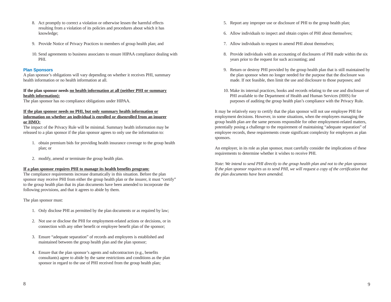- 8. Act promptly to correct a violation or otherwise lessen the harmful effects resulting from a violation of its policies and procedures about which it has knowledge;
- 9. Provide Notice of Privacy Practices to members of group health plan; and
- 10. Send agreements to business associates to ensure HIPAA compliance dealing with PHI.

#### **Plan Sponsors**

A plan sponsor's obligations will vary depending on whether it receives PHI, summary health information or no health information at all.

#### **If the plan sponsor needs no health information at all (neither PHI or summary health information):**

The plan sponsor has no compliance obligations under HIPAA.

#### **If the plan sponsor needs no PHI, but only summary health information or information on whether an individual is enrolled or disenrolled from an insurer or HMO:**

The impact of the Privacy Rule will be minimal. Summary health information may be released to a plan sponsor if the plan sponsor agrees to only use the information to:

- 1. obtain premium bids for providing health insurance coverage to the group health plan; or
- 2. modify, amend or terminate the group health plan.

### **If a plan sponsor requires PHI to manage its health benefits program:**

The compliance requirements increase dramatically in this situation. Before the plan sponsor may receive PHI from either the group health plan or the insurer, it must "certify" to the group health plan that its plan documents have been amended to incorporate the following provisions, and that it agrees to abide by them.

The plan sponsor must:

- 1. Only disclose PHI as permitted by the plan documents or as required by law;
- 2. Not use or disclose the PHI for employment-related actions or decisions, or in connection with any other benefit or employee benefit plan of the sponsor;
- 3. Ensure "adequate separation" of records and employees is established and maintained between the group health plan and the plan sponsor;
- 4. Ensure that the plan sponsor's agents and subcontractors (e.g., benefits consultants) agree to abide by the same restrictions and conditions as the plan sponsor in regard to the use of PHI received from the group health plan;
- 5. Report any improper use or disclosure of PHI to the group health plan;
- 6. Allow individuals to inspect and obtain copies of PHI about themselves;
- 7. Allow individuals to request to amend PHI about themselves;
- 8. Provide individuals with an accounting of disclosures of PHI made within the six years prior to the request for such accounting; and
- 9. Return or destroy PHI provided by the group health plan that is still maintained by the plan sponsor when no longer needed for the purpose that the disclosure was made. If not feasible, then limit the use and disclosure to those purposes; and
- 10. Make its internal practices, books and records relating to the use and disclosure of PHI available to the Department of Health and Human Services (HHS) for purposes of auditing the group health plan's compliance with the Privacy Rule.

It may be relatively easy to certify that the plan sponsor will not use employee PHI for employment decisions. However, in some situations, when the employees managing the group health plan are the same persons responsible for other employment-related matters, potentially posing a challenge to the requirement of maintaining "adequate separation" of employee records, these requirements create significant complexity for employers as plan sponsors.

An employer, in its role as plan sponsor, must carefully consider the implications of these requirements to determine whether it wishes to receive PHI.

*Note: We intend to send PHI directly to the group health plan and not to the plan sponsor. If the plan sponsor requires us to send PHI, we will request a copy of the certification that the plan documents have been amended.*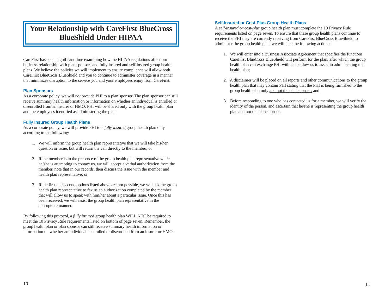### **Your Relationship with CareFirst BlueCross BlueShield Under HIPAA**

CareFirst has spent significant time examining how the HIPAA regulations affect our business relationship with plan sponsors and fully insured and self-insured group health plans. We believe the policies we will implement to ensure compliance will allow both CareFirst BlueCross BlueShield and you to continue to administer coverage in a manner that minimizes disruption to the service you and your employees enjoy from CareFirst.

#### **Plan Sponsors**

As a corporate policy, we will *not* provide PHI to a plan sponsor. The plan sponsor can still receive summary health information or information on whether an individual is enrolled or disenrolled from an insurer or HMO. PHI will be shared only with the group health plan and the employees identified as administering the plan.

#### **Fully Insured Group Health Plans**

As a corporate policy, we will provide PHI to a *fully insured* group health plan only according to the following:

- 1. We will inform the group health plan representative that we will take his/her question or issue, but will return the call directly to the member; or
- 2. If the member is in the presence of the group health plan representative while he/she is attempting to contact us, we will accept a verbal authorization from the member, note that in our records, then discuss the issue with the member and health plan representative; or
- 3. If the first and second options listed above are not possible, we will ask the group health plan representative to fax us an authorization completed by the member that will allow us to speak with him/her about a particular issue. Once this has been received, we will assist the group health plan representative in the appropriate manner.

By following this protocol, a *fully insured* group health plan WILL NOT be required to meet the 10 Privacy Rule requirements listed on bottom of page seven. Remember, the group health plan or plan sponsor can still receive summary health information or information on whether an individual is enrolled or disenrolled from an insurer or HMO.

#### **Self-Insured or Cost-Plus Group Health Plans**

A *self-insured or cost-plus* group health plan must complete the 10 Privacy Rule requirements listed on page seven. To ensure that these group health plans continue to receive the PHI they are currently receiving from CareFirst BlueCross BlueShield to administer the group health plan, we will take the following actions:

- 1. We will enter into a Business Associate Agreement that specifies the functions CareFirst BlueCross BlueShield will perform for the plan, after which the group health plan can exchange PHI with us to allow us to assist in administering the health plan;
- 2. A disclaimer will be placed on all reports and other communications to the group health plan that may contain PHI stating that the PHI is being furnished to the group health plan only and not the plan sponsor; and
- 3. Before responding to one who has contacted us for a member, we will verify the identity of the person, and ascertain that he/she is representing the group health plan and not the plan sponsor.